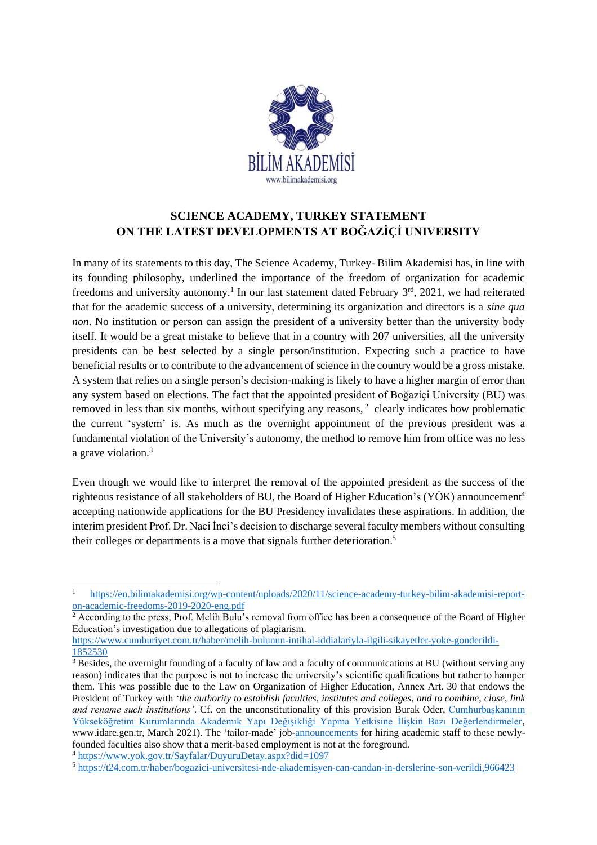

## **SCIENCE ACADEMY, TURKEY STATEMENT ON THE LATEST DEVELOPMENTS AT BOĞAZİÇİ UNIVERSITY**

In many of its statements to this day, The Science Academy, Turkey- Bilim Akademisi has, in line with its founding philosophy, underlined the importance of the freedom of organization for academic freedoms and university autonomy.<sup>1</sup> In our last statement dated February  $3<sup>rd</sup>$ , 2021, we had reiterated that for the academic success of a university, determining its organization and directors is a *sine qua non*. No institution or person can assign the president of a university better than the university body itself. It would be a great mistake to believe that in a country with 207 universities, all the university presidents can be best selected by a single person/institution. Expecting such a practice to have beneficial results or to contribute to the advancement of science in the country would be a gross mistake. A system that relies on a single person's decision-making is likely to have a higher margin of error than any system based on elections. The fact that the appointed president of Boğaziçi University (BU) was removed in less than six months, without specifying any reasons,<sup>2</sup> clearly indicates how problematic the current 'system' is. As much as the overnight appointment of the previous president was a fundamental violation of the University's autonomy, the method to remove him from office was no less a grave violation.<sup>3</sup>

Even though we would like to interpret the removal of the appointed president as the success of the righteous resistance of all stakeholders of BU, the Board of Higher Education's (YÖK) announcement<sup>4</sup> accepting nationwide applications for the BU Presidency invalidates these aspirations. In addition, the interim president Prof. Dr. Naci İnci's decision to discharge several faculty members without consulting their colleges or departments is a move that signals further deterioration. 5

<sup>1</sup> [https://en.bilimakademisi.org/wp-content/uploads/2020/11/science-academy-turkey-bilim-akademisi-report](https://en.bilimakademisi.org/wp-content/uploads/2020/11/science-academy-turkey-bilim-akademisi-report-on-academic-freedoms-2019-2020-eng.pdf)[on-academic-freedoms-2019-2020-eng.pdf](https://en.bilimakademisi.org/wp-content/uploads/2020/11/science-academy-turkey-bilim-akademisi-report-on-academic-freedoms-2019-2020-eng.pdf)

<sup>&</sup>lt;sup>2</sup> According to the press, Prof. Melih Bulu's removal from office has been a consequence of the Board of Higher Education's investigation due to allegations of plagiarism.

[https://www.cumhuriyet.com.tr/haber/melih-bulunun-intihal-iddialariyla-ilgili-sikayetler-yoke-gonderildi-](https://www.cumhuriyet.com.tr/haber/melih-bulunun-intihal-iddialariyla-ilgili-sikayetler-yoke-gonderildi-1852530)[1852530](https://www.cumhuriyet.com.tr/haber/melih-bulunun-intihal-iddialariyla-ilgili-sikayetler-yoke-gonderildi-1852530)

<sup>&</sup>lt;sup>3</sup> Besides, the overnight founding of a faculty of law and a faculty of communications at BU (without serving any reason) indicates that the purpose is not to increase the university's scientific qualifications but rather to hamper them. This was possible due to the Law on Organization of Higher Education, Annex Art. 30 that endows the President of Turkey with '*the authority to establish faculties, institutes and colleges, and to combine, close, link and rename such institutions'*. Cf. on the unconstitutionality of this provision Burak Oder, [Cumhurbaşkanının](https://www.google.com/url?sa=t&rct=j&q=&esrc=s&source=web&cd=&cad=rja&uact=8&ved=2ahUKEwjWq4WSmuzxAhVVhv0HHRZgAUkQFjAAegQICxAD&url=http%3A%2F%2Fwww.idare.gen.tr%2Foder-fakulte-kurma.pdf&usg=AOvVaw0FMyYhmS1zAGAWmfPJ3F9a)  [Yükseköğretim Kurumlarında Akademik Yapı Değişikliği Yapma Yetkisine İlişkin Bazı Değerlendirmeler,](https://www.google.com/url?sa=t&rct=j&q=&esrc=s&source=web&cd=&cad=rja&uact=8&ved=2ahUKEwjWq4WSmuzxAhVVhv0HHRZgAUkQFjAAegQICxAD&url=http%3A%2F%2Fwww.idare.gen.tr%2Foder-fakulte-kurma.pdf&usg=AOvVaw0FMyYhmS1zAGAWmfPJ3F9a) www.idare.gen.tr, March 2021). The 'tailor-made' job[-announcements](https://www.resmigazete.gov.tr/ilanlar/eskiilanlar/2021/07/20210716-4-7.pdf) for hiring academic staff to these newlyfounded faculties also show that a merit-based employment is not at the foreground.

<sup>4</sup> <https://www.yok.gov.tr/Sayfalar/DuyuruDetay.aspx?did=1097>

<sup>5</sup> <https://t24.com.tr/haber/bogazici-universitesi-nde-akademisyen-can-candan-in-derslerine-son-verildi,966423>